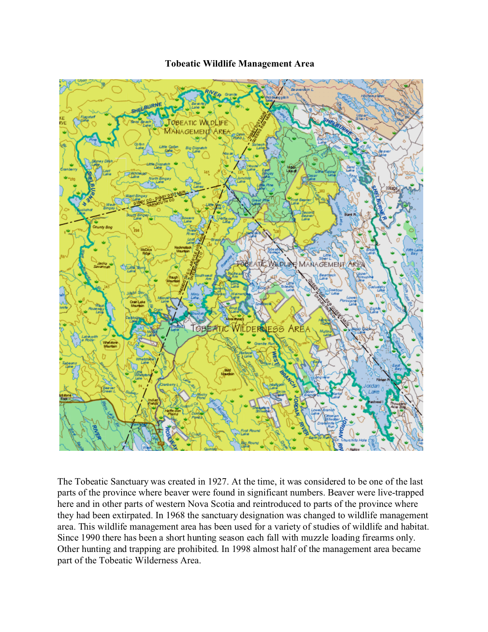## **Tobeatic Wildlife Management Area**



The Tobeatic Sanctuary was created in 1927. At the time, it was considered to be one of the last parts of the province where beaver were found in significant numbers. Beaver were live-trapped here and in other parts of western Nova Scotia and reintroduced to parts of the province where they had been extirpated. In 1968 the sanctuary designation was changed to wildlife management area. This wildlife management area has been used for a variety of studies of wildlife and habitat. Since 1990 there has been a short hunting season each fall with muzzle loading firearms only. Other hunting and trapping are prohibited. In 1998 almost half of the management area became part of the Tobeatic Wilderness Area.